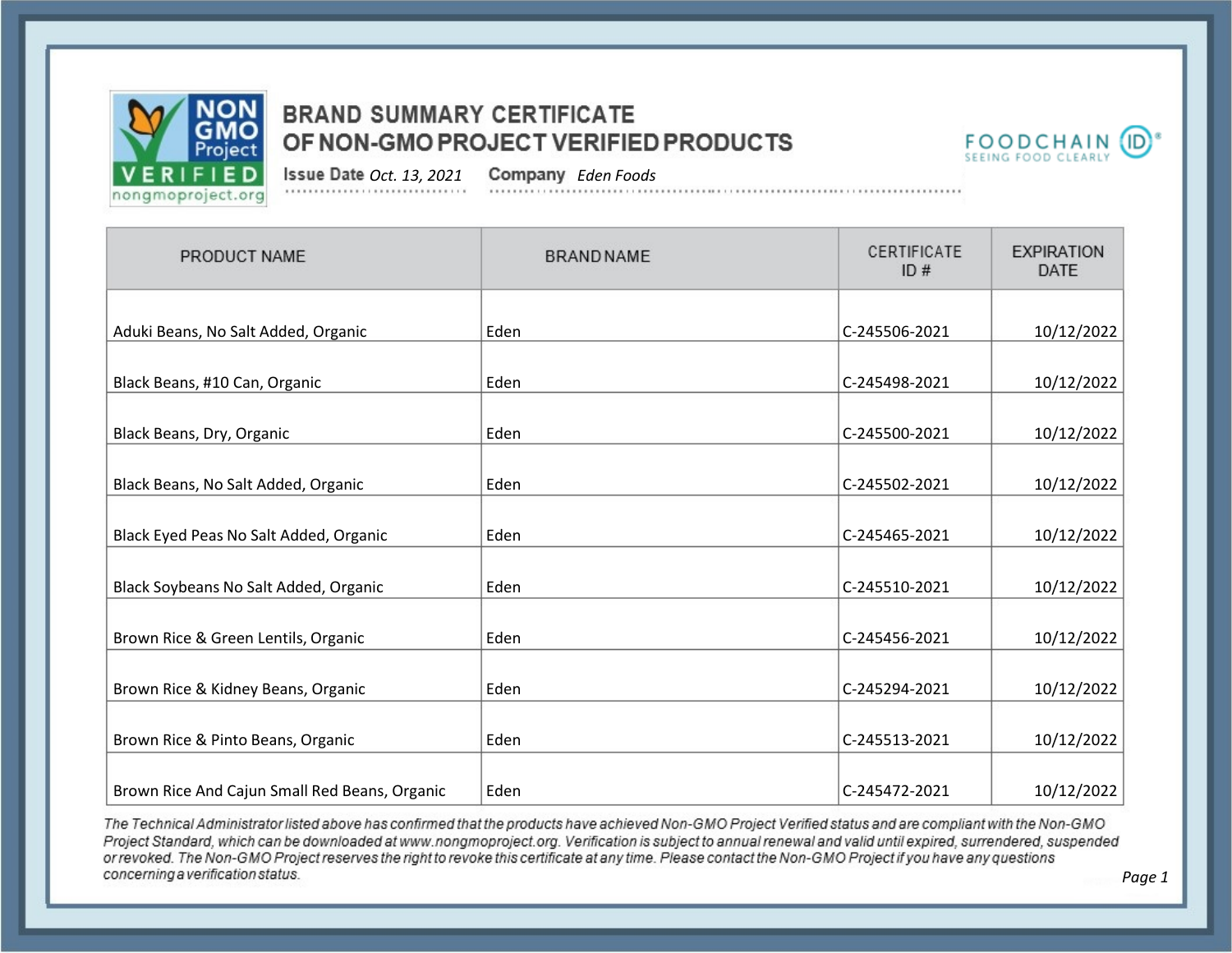



*Page 1*

*Oct. 13, 2021 Eden Foods*

| PRODUCT NAME                                  | <b>BRAND NAME</b> | CERTIFICATE<br>ID# | <b>EXPIRATION</b><br><b>DATE</b> |
|-----------------------------------------------|-------------------|--------------------|----------------------------------|
|                                               |                   |                    |                                  |
| Aduki Beans, No Salt Added, Organic           | Eden              | C-245506-2021      | 10/12/2022                       |
| Black Beans, #10 Can, Organic                 | Eden              | C-245498-2021      | 10/12/2022                       |
| Black Beans, Dry, Organic                     | Eden              | C-245500-2021      | 10/12/2022                       |
| Black Beans, No Salt Added, Organic           | Eden              | C-245502-2021      | 10/12/2022                       |
| Black Eyed Peas No Salt Added, Organic        | Eden              | C-245465-2021      | 10/12/2022                       |
| Black Soybeans No Salt Added, Organic         | Eden              | C-245510-2021      | 10/12/2022                       |
| Brown Rice & Green Lentils, Organic           | Eden              | C-245456-2021      | 10/12/2022                       |
| Brown Rice & Kidney Beans, Organic            | Eden              | C-245294-2021      | 10/12/2022                       |
| Brown Rice & Pinto Beans, Organic             | Eden              | C-245513-2021      | 10/12/2022                       |
| Brown Rice And Cajun Small Red Beans, Organic | Eden              | C-245472-2021      | 10/12/2022                       |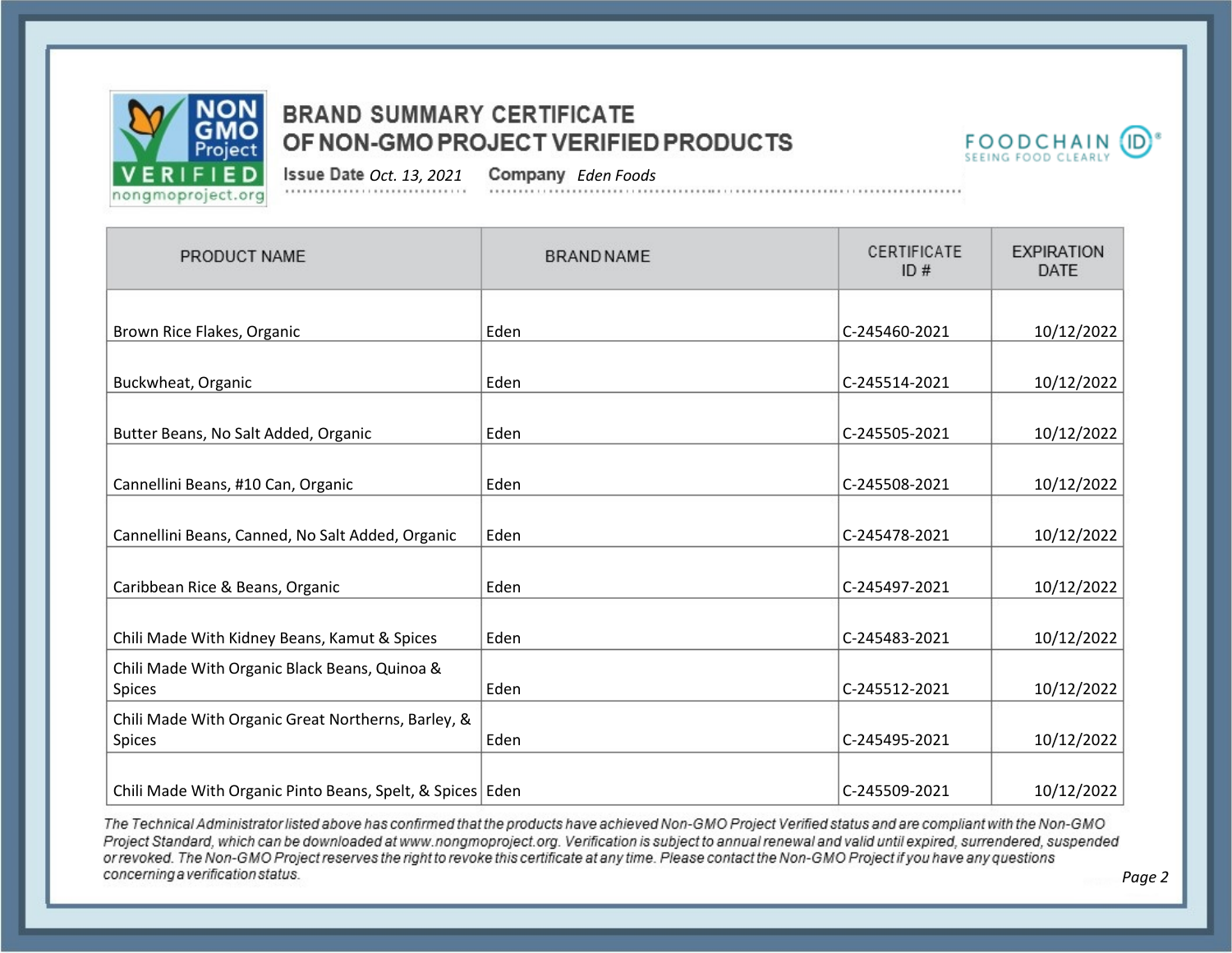



*Oct. 13, 2021 Eden Foods*

| PRODUCT NAME                                                        | <b>BRAND NAME</b> | CERTIFICATE<br>ID# | <b>EXPIRATION</b><br><b>DATE</b> |
|---------------------------------------------------------------------|-------------------|--------------------|----------------------------------|
|                                                                     |                   |                    |                                  |
| Brown Rice Flakes, Organic                                          | Eden              | C-245460-2021      | 10/12/2022                       |
| Buckwheat, Organic                                                  | Eden              | C-245514-2021      | 10/12/2022                       |
| Butter Beans, No Salt Added, Organic                                | Eden              | C-245505-2021      | 10/12/2022                       |
| Cannellini Beans, #10 Can, Organic                                  | Eden              | C-245508-2021      | 10/12/2022                       |
| Cannellini Beans, Canned, No Salt Added, Organic                    | Eden              | C-245478-2021      | 10/12/2022                       |
| Caribbean Rice & Beans, Organic                                     | Eden              | C-245497-2021      | 10/12/2022                       |
| Chili Made With Kidney Beans, Kamut & Spices                        | Eden              | C-245483-2021      | 10/12/2022                       |
| Chili Made With Organic Black Beans, Quinoa &<br><b>Spices</b>      | Eden              | C-245512-2021      | 10/12/2022                       |
| Chili Made With Organic Great Northerns, Barley, &<br><b>Spices</b> | Eden              | C-245495-2021      | 10/12/2022                       |
| Chili Made With Organic Pinto Beans, Spelt, & Spices Eden           |                   | C-245509-2021      | 10/12/2022                       |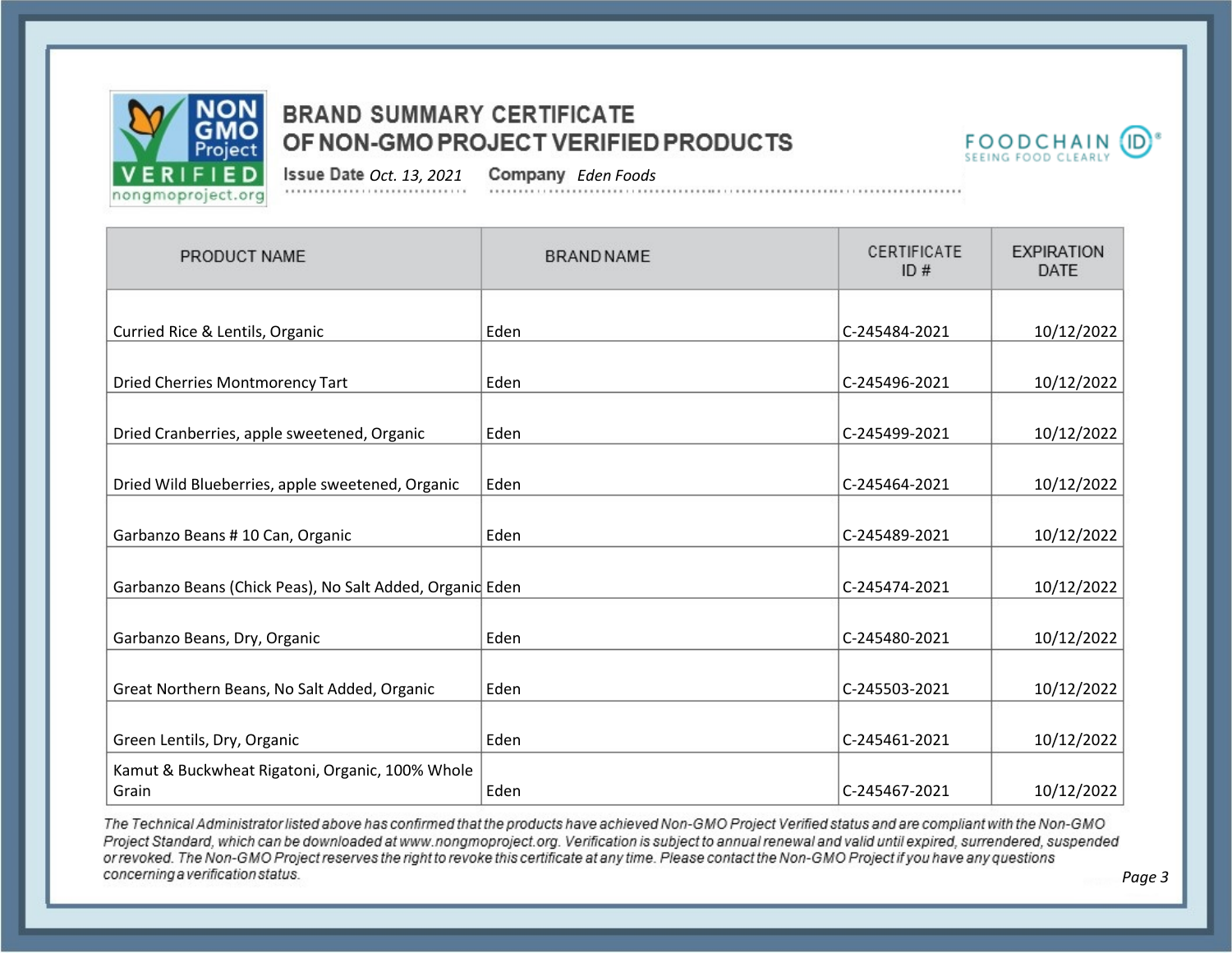



*Oct. 13, 2021 Eden Foods*

| PRODUCT NAME                                             | <b>BRAND NAME</b> | CERTIFICATE<br>ID# | <b>EXPIRATION</b><br><b>DATE</b> |
|----------------------------------------------------------|-------------------|--------------------|----------------------------------|
|                                                          |                   |                    |                                  |
| Curried Rice & Lentils, Organic                          | Eden              | C-245484-2021      | 10/12/2022                       |
| <b>Dried Cherries Montmorency Tart</b>                   | Eden              | C-245496-2021      | 10/12/2022                       |
| Dried Cranberries, apple sweetened, Organic              | Eden              | C-245499-2021      | 10/12/2022                       |
| Dried Wild Blueberries, apple sweetened, Organic         | Eden              | C-245464-2021      | 10/12/2022                       |
| Garbanzo Beans # 10 Can, Organic                         | Eden              | C-245489-2021      | 10/12/2022                       |
| Garbanzo Beans (Chick Peas), No Salt Added, Organid Eden |                   | C-245474-2021      | 10/12/2022                       |
| Garbanzo Beans, Dry, Organic                             | Eden              | C-245480-2021      | 10/12/2022                       |
| Great Northern Beans, No Salt Added, Organic             | Eden              | C-245503-2021      | 10/12/2022                       |
| Green Lentils, Dry, Organic                              | Eden              | C-245461-2021      | 10/12/2022                       |
| Kamut & Buckwheat Rigatoni, Organic, 100% Whole<br>Grain | Eden              | C-245467-2021      | 10/12/2022                       |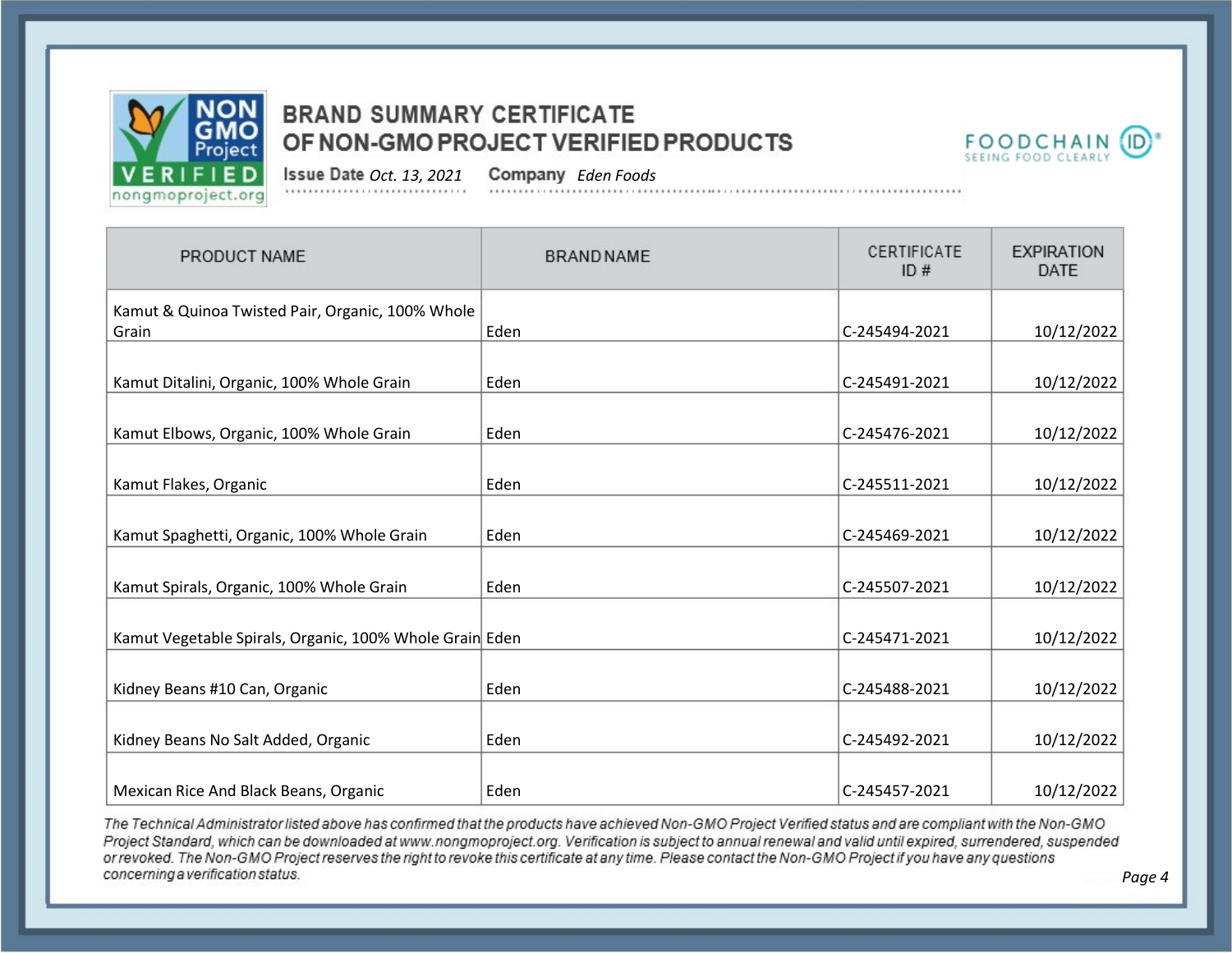



*Oct. 13, 2021 Eden Foods*

| PRODUCT NAME                                            | <b>BRAND NAME</b> | CERTIFICATE<br>ID# | <b>EXPIRATION</b><br><b>DATE</b> |
|---------------------------------------------------------|-------------------|--------------------|----------------------------------|
| Kamut & Quinoa Twisted Pair, Organic, 100% Whole        |                   |                    |                                  |
| Grain                                                   | Eden              | C-245494-2021      | 10/12/2022                       |
|                                                         |                   |                    |                                  |
| Kamut Ditalini, Organic, 100% Whole Grain               | Eden              | C-245491-2021      | 10/12/2022                       |
|                                                         |                   |                    |                                  |
| Kamut Elbows, Organic, 100% Whole Grain                 | Eden              | C-245476-2021      | 10/12/2022                       |
|                                                         |                   |                    |                                  |
| Kamut Flakes, Organic                                   | Eden              | C-245511-2021      | 10/12/2022                       |
|                                                         |                   |                    |                                  |
| Kamut Spaghetti, Organic, 100% Whole Grain              | Eden              | C-245469-2021      | 10/12/2022                       |
|                                                         |                   |                    |                                  |
| Kamut Spirals, Organic, 100% Whole Grain                | Eden              | C-245507-2021      | 10/12/2022                       |
|                                                         |                   |                    |                                  |
| Kamut Vegetable Spirals, Organic, 100% Whole Grain Eden |                   | C-245471-2021      | 10/12/2022                       |
|                                                         |                   |                    |                                  |
| Kidney Beans #10 Can, Organic                           | Eden              | C-245488-2021      | 10/12/2022                       |
|                                                         |                   |                    |                                  |
| Kidney Beans No Salt Added, Organic                     | Eden              | C-245492-2021      | 10/12/2022                       |
|                                                         |                   |                    |                                  |
| Mexican Rice And Black Beans, Organic                   | Eden              | C-245457-2021      | 10/12/2022                       |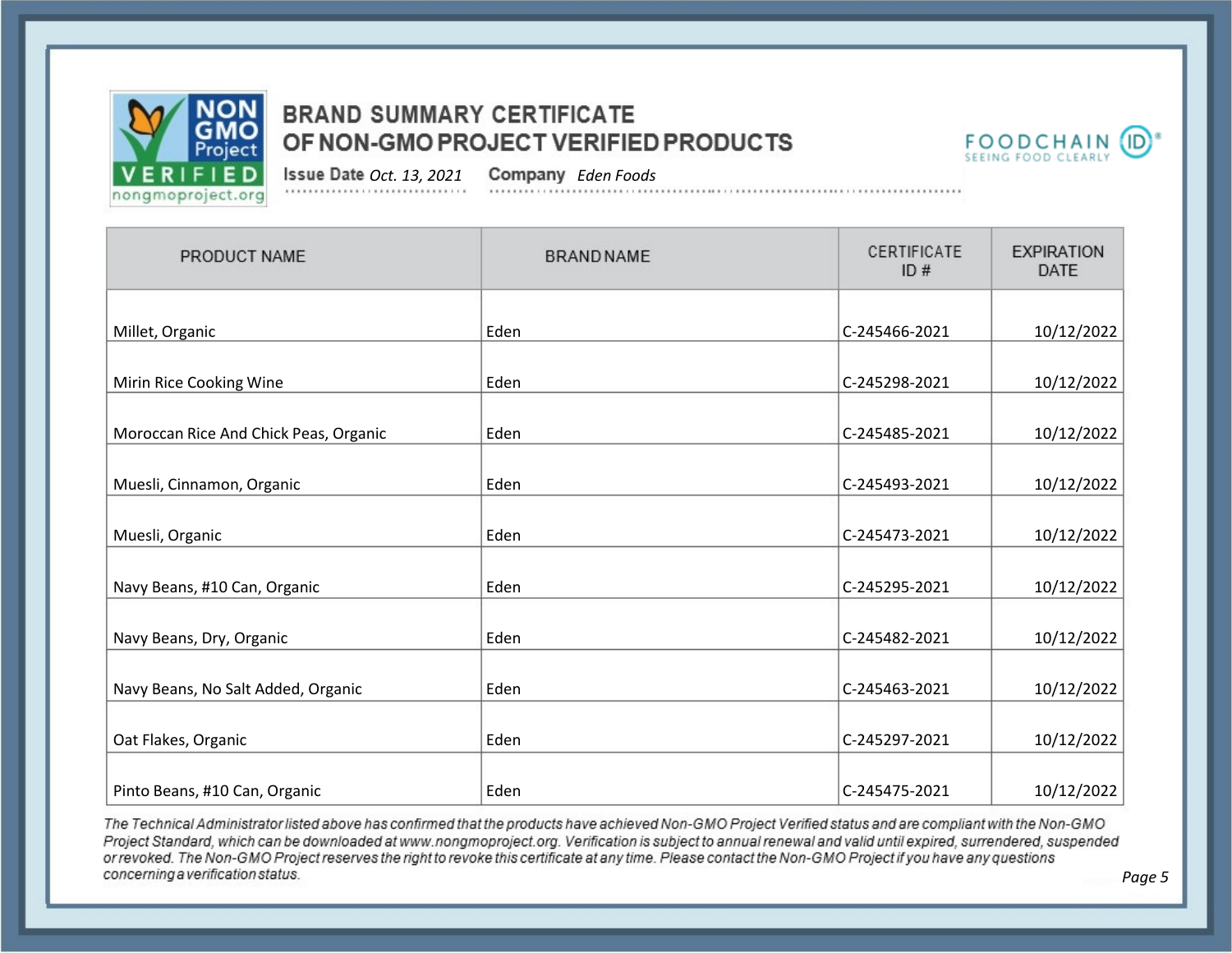



*Oct. 13, 2021 Eden Foods*

| PRODUCT NAME                          | <b>BRAND NAME</b> | CERTIFICATE<br>ID# | <b>EXPIRATION</b><br><b>DATE</b> |
|---------------------------------------|-------------------|--------------------|----------------------------------|
| Millet, Organic                       | Eden              | C-245466-2021      | 10/12/2022                       |
| Mirin Rice Cooking Wine               | Eden              | C-245298-2021      | 10/12/2022                       |
| Moroccan Rice And Chick Peas, Organic | Eden              | C-245485-2021      | 10/12/2022                       |
| Muesli, Cinnamon, Organic             | Eden              | C-245493-2021      | 10/12/2022                       |
| Muesli, Organic                       | Eden              | C-245473-2021      | 10/12/2022                       |
| Navy Beans, #10 Can, Organic          | Eden              | C-245295-2021      | 10/12/2022                       |
| Navy Beans, Dry, Organic              | Eden              | C-245482-2021      | 10/12/2022                       |
| Navy Beans, No Salt Added, Organic    | Eden              | C-245463-2021      | 10/12/2022                       |
| Oat Flakes, Organic                   | Eden              | C-245297-2021      | 10/12/2022                       |
| Pinto Beans, #10 Can, Organic         | Eden              | C-245475-2021      | 10/12/2022                       |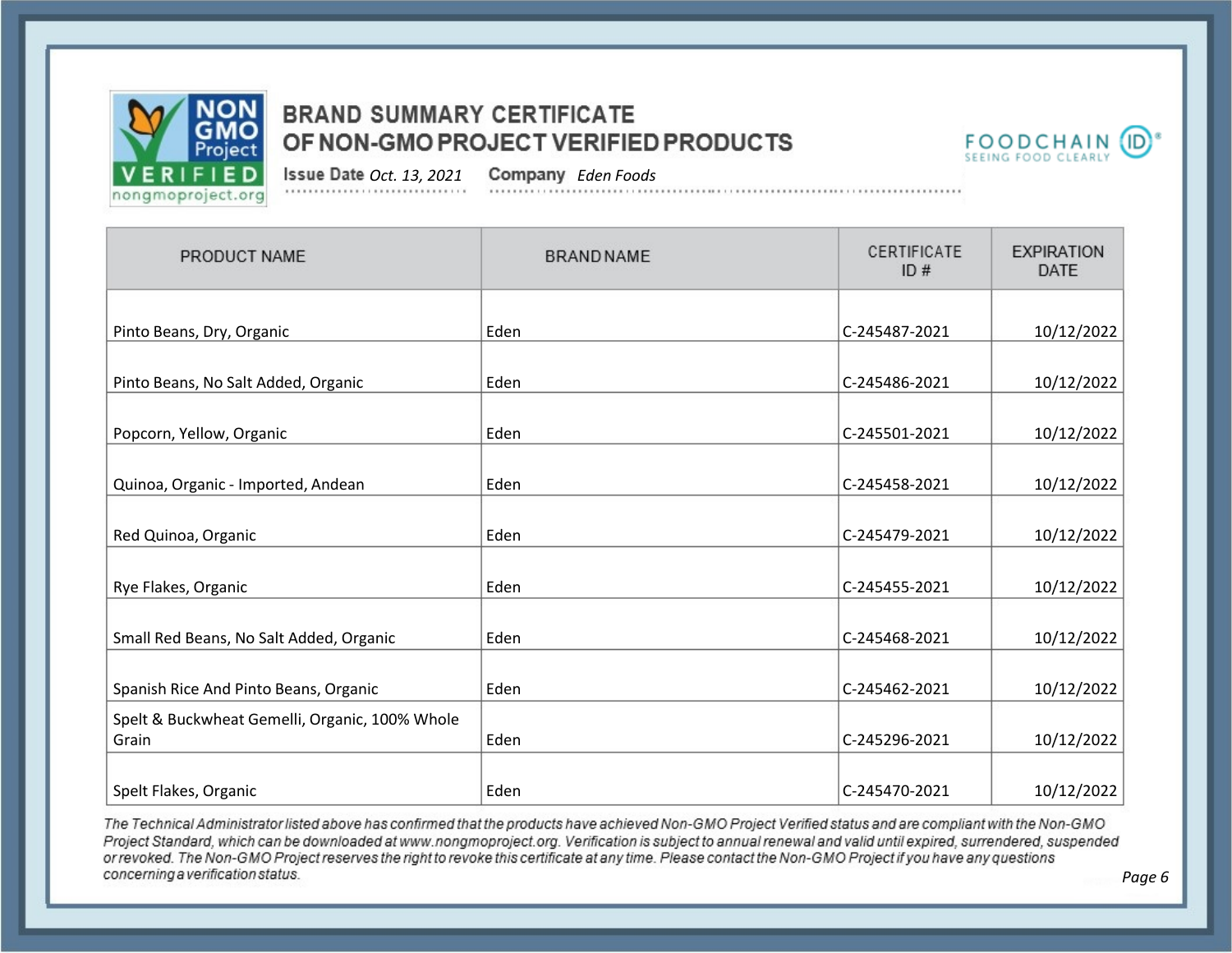



*Page 6*

*Oct. 13, 2021 Eden Foods*

| PRODUCT NAME                                            | <b>BRAND NAME</b> | CERTIFICATE<br>ID# | <b>EXPIRATION</b><br><b>DATE</b> |
|---------------------------------------------------------|-------------------|--------------------|----------------------------------|
|                                                         |                   |                    |                                  |
| Pinto Beans, Dry, Organic                               | Eden              | C-245487-2021      | 10/12/2022                       |
| Pinto Beans, No Salt Added, Organic                     | Eden              | C-245486-2021      | 10/12/2022                       |
| Popcorn, Yellow, Organic                                | Eden              | C-245501-2021      | 10/12/2022                       |
| Quinoa, Organic - Imported, Andean                      | Eden              | C-245458-2021      | 10/12/2022                       |
| Red Quinoa, Organic                                     | Eden              | C-245479-2021      | 10/12/2022                       |
| Rye Flakes, Organic                                     | Eden              | C-245455-2021      | 10/12/2022                       |
| Small Red Beans, No Salt Added, Organic                 | Eden              | C-245468-2021      | 10/12/2022                       |
| Spanish Rice And Pinto Beans, Organic                   | Eden              | C-245462-2021      | 10/12/2022                       |
| Spelt & Buckwheat Gemelli, Organic, 100% Whole<br>Grain | Eden              | C-245296-2021      | 10/12/2022                       |
| Spelt Flakes, Organic                                   | Eden              | C-245470-2021      | 10/12/2022                       |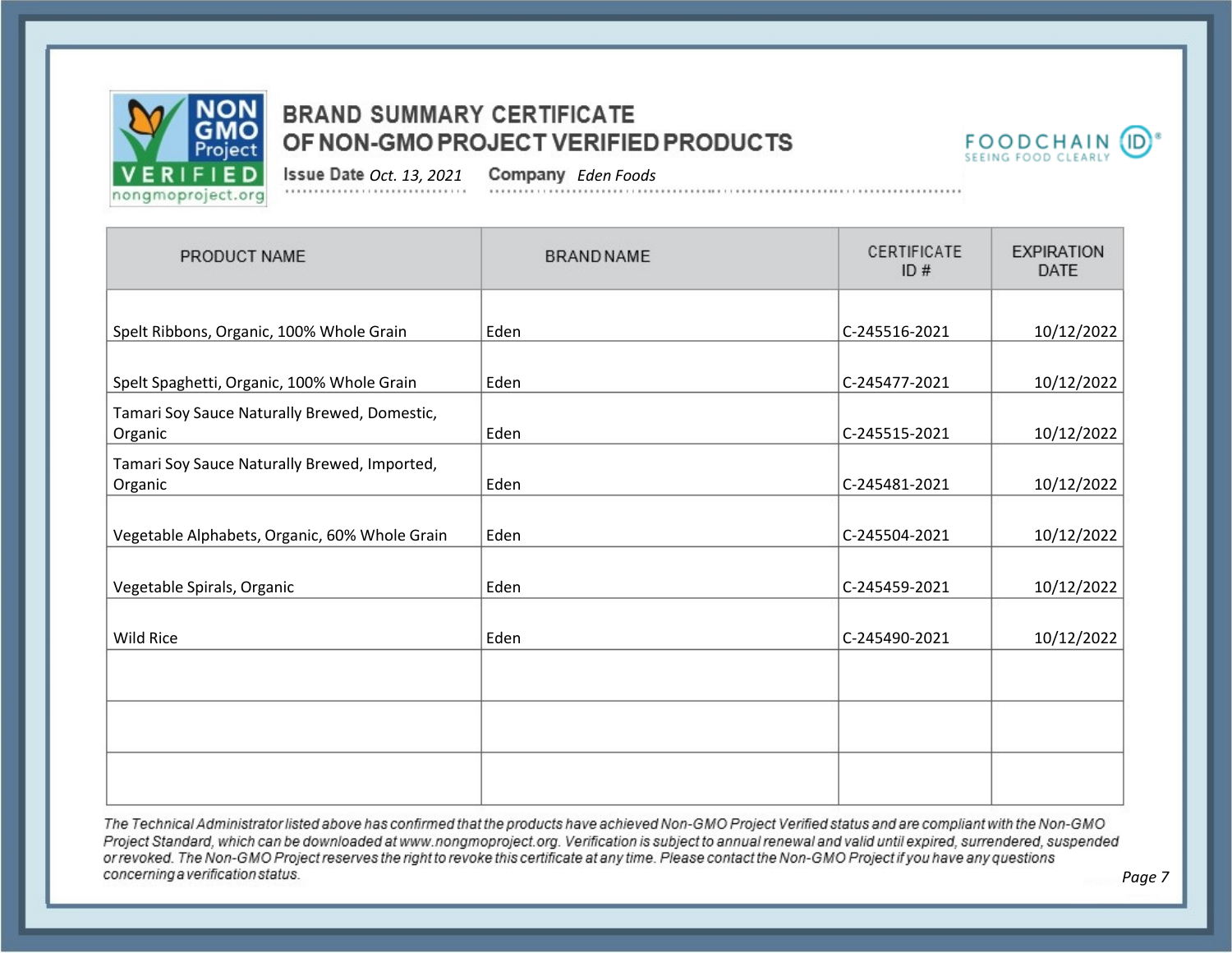



*Page 7*

*Oct. 13, 2021 Eden Foods*

| PRODUCT NAME                                            | <b>BRAND NAME</b> | CERTIFICATE<br>ID# | <b>EXPIRATION</b><br><b>DATE</b> |
|---------------------------------------------------------|-------------------|--------------------|----------------------------------|
| Spelt Ribbons, Organic, 100% Whole Grain                | Eden              | C-245516-2021      | 10/12/2022                       |
| Spelt Spaghetti, Organic, 100% Whole Grain              | Eden              | C-245477-2021      | 10/12/2022                       |
| Tamari Soy Sauce Naturally Brewed, Domestic,<br>Organic | Eden              | C-245515-2021      | 10/12/2022                       |
| Tamari Soy Sauce Naturally Brewed, Imported,<br>Organic | Eden              | C-245481-2021      | 10/12/2022                       |
| Vegetable Alphabets, Organic, 60% Whole Grain           | Eden              | C-245504-2021      | 10/12/2022                       |
| Vegetable Spirals, Organic                              | Eden              | C-245459-2021      | 10/12/2022                       |
| <b>Wild Rice</b>                                        | Eden              | C-245490-2021      | 10/12/2022                       |
|                                                         |                   |                    |                                  |
|                                                         |                   |                    |                                  |
|                                                         |                   |                    |                                  |